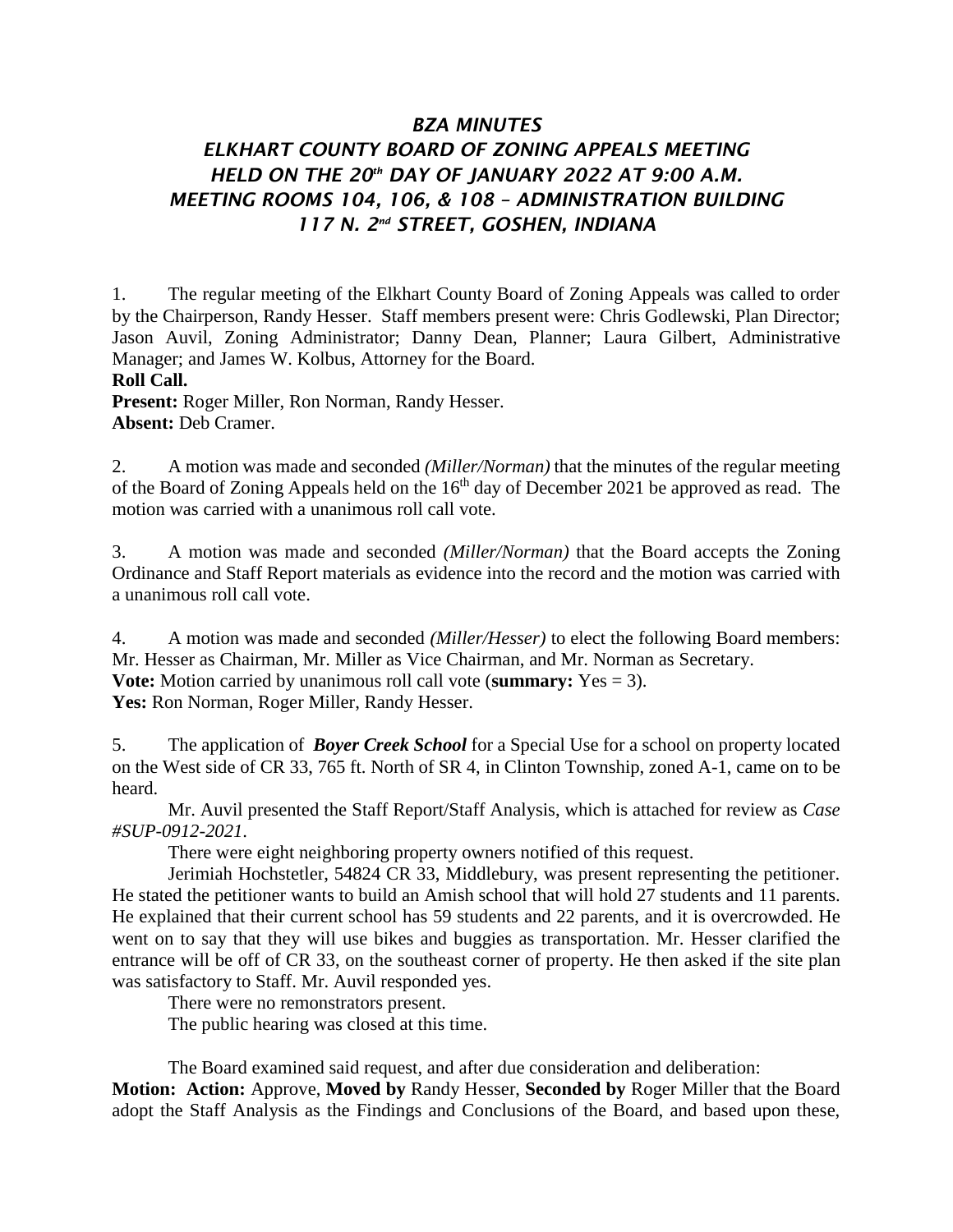# *BZA MINUTES ELKHART COUNTY BOARD OF ZONING APPEALS MEETING HELD ON THE 20th DAY OF JANUARY 2022 AT 9:00 A.M. MEETING ROOMS 104, 106, & 108 – ADMINISTRATION BUILDING 117 N. 2nd STREET, GOSHEN, INDIANA*

1. The regular meeting of the Elkhart County Board of Zoning Appeals was called to order by the Chairperson, Randy Hesser. Staff members present were: Chris Godlewski, Plan Director; Jason Auvil, Zoning Administrator; Danny Dean, Planner; Laura Gilbert, Administrative Manager; and James W. Kolbus, Attorney for the Board.

## **Roll Call.**

**Present:** Roger Miller, Ron Norman, Randy Hesser. **Absent:** Deb Cramer.

2. A motion was made and seconded *(Miller/Norman)* that the minutes of the regular meeting of the Board of Zoning Appeals held on the  $16<sup>th</sup>$  day of December 2021 be approved as read. The motion was carried with a unanimous roll call vote.

3. A motion was made and seconded *(Miller/Norman)* that the Board accepts the Zoning Ordinance and Staff Report materials as evidence into the record and the motion was carried with a unanimous roll call vote.

4. A motion was made and seconded *(Miller/Hesser)* to elect the following Board members: Mr. Hesser as Chairman, Mr. Miller as Vice Chairman, and Mr. Norman as Secretary.

**Vote:** Motion carried by unanimous roll call vote (**summary:** Yes = 3).

Yes: Ron Norman, Roger Miller, Randy Hesser.

5. The application of *Boyer Creek School* for a Special Use for a school on property located on the West side of CR 33, 765 ft. North of SR 4, in Clinton Township, zoned A-1, came on to be heard.

Mr. Auvil presented the Staff Report/Staff Analysis, which is attached for review as *Case #SUP-0912-2021*.

There were eight neighboring property owners notified of this request.

Jerimiah Hochstetler, 54824 CR 33, Middlebury, was present representing the petitioner. He stated the petitioner wants to build an Amish school that will hold 27 students and 11 parents. He explained that their current school has 59 students and 22 parents, and it is overcrowded. He went on to say that they will use bikes and buggies as transportation. Mr. Hesser clarified the entrance will be off of CR 33, on the southeast corner of property. He then asked if the site plan was satisfactory to Staff. Mr. Auvil responded yes.

There were no remonstrators present.

The public hearing was closed at this time.

The Board examined said request, and after due consideration and deliberation:

**Motion: Action:** Approve, **Moved by** Randy Hesser, **Seconded by** Roger Miller that the Board adopt the Staff Analysis as the Findings and Conclusions of the Board, and based upon these,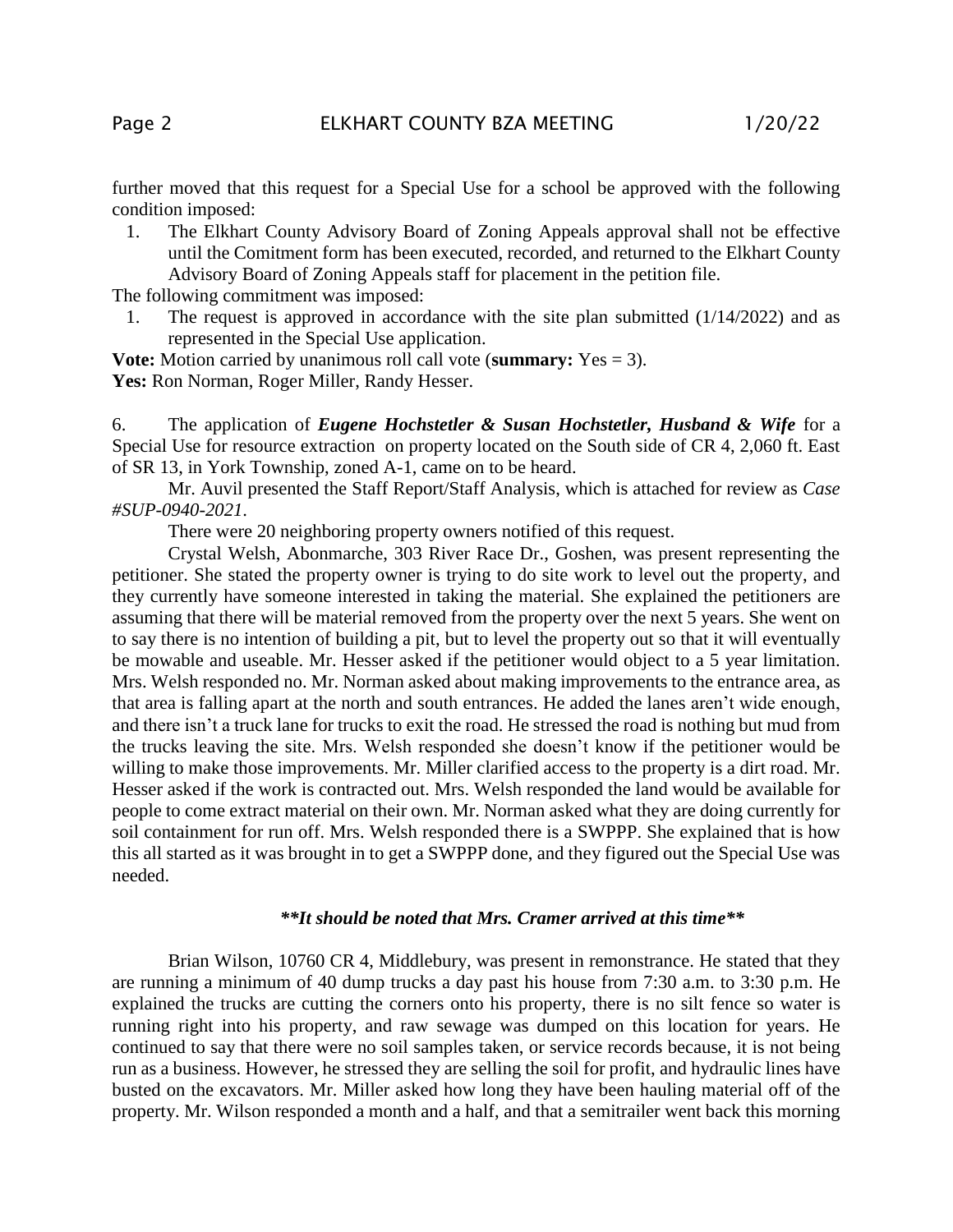further moved that this request for a Special Use for a school be approved with the following condition imposed:

1. The Elkhart County Advisory Board of Zoning Appeals approval shall not be effective until the Comitment form has been executed, recorded, and returned to the Elkhart County Advisory Board of Zoning Appeals staff for placement in the petition file.

The following commitment was imposed:

1. The request is approved in accordance with the site plan submitted (1/14/2022) and as represented in the Special Use application.

**Vote:** Motion carried by unanimous roll call vote (**summary:** Yes = 3). Yes: Ron Norman, Roger Miller, Randy Hesser.

6. The application of *Eugene Hochstetler & Susan Hochstetler, Husband & Wife* for a Special Use for resource extraction on property located on the South side of CR 4, 2,060 ft. East of SR 13, in York Township, zoned A-1, came on to be heard.

Mr. Auvil presented the Staff Report/Staff Analysis, which is attached for review as *Case #SUP-0940-2021*.

There were 20 neighboring property owners notified of this request.

Crystal Welsh, Abonmarche, 303 River Race Dr., Goshen, was present representing the petitioner. She stated the property owner is trying to do site work to level out the property, and they currently have someone interested in taking the material. She explained the petitioners are assuming that there will be material removed from the property over the next 5 years. She went on to say there is no intention of building a pit, but to level the property out so that it will eventually be mowable and useable. Mr. Hesser asked if the petitioner would object to a 5 year limitation. Mrs. Welsh responded no. Mr. Norman asked about making improvements to the entrance area, as that area is falling apart at the north and south entrances. He added the lanes aren't wide enough, and there isn't a truck lane for trucks to exit the road. He stressed the road is nothing but mud from the trucks leaving the site. Mrs. Welsh responded she doesn't know if the petitioner would be willing to make those improvements. Mr. Miller clarified access to the property is a dirt road. Mr. Hesser asked if the work is contracted out. Mrs. Welsh responded the land would be available for people to come extract material on their own. Mr. Norman asked what they are doing currently for soil containment for run off. Mrs. Welsh responded there is a SWPPP. She explained that is how this all started as it was brought in to get a SWPPP done, and they figured out the Special Use was needed.

#### *\*\*It should be noted that Mrs. Cramer arrived at this time\*\**

Brian Wilson, 10760 CR 4, Middlebury, was present in remonstrance. He stated that they are running a minimum of 40 dump trucks a day past his house from 7:30 a.m. to 3:30 p.m. He explained the trucks are cutting the corners onto his property, there is no silt fence so water is running right into his property, and raw sewage was dumped on this location for years. He continued to say that there were no soil samples taken, or service records because, it is not being run as a business. However, he stressed they are selling the soil for profit, and hydraulic lines have busted on the excavators. Mr. Miller asked how long they have been hauling material off of the property. Mr. Wilson responded a month and a half, and that a semitrailer went back this morning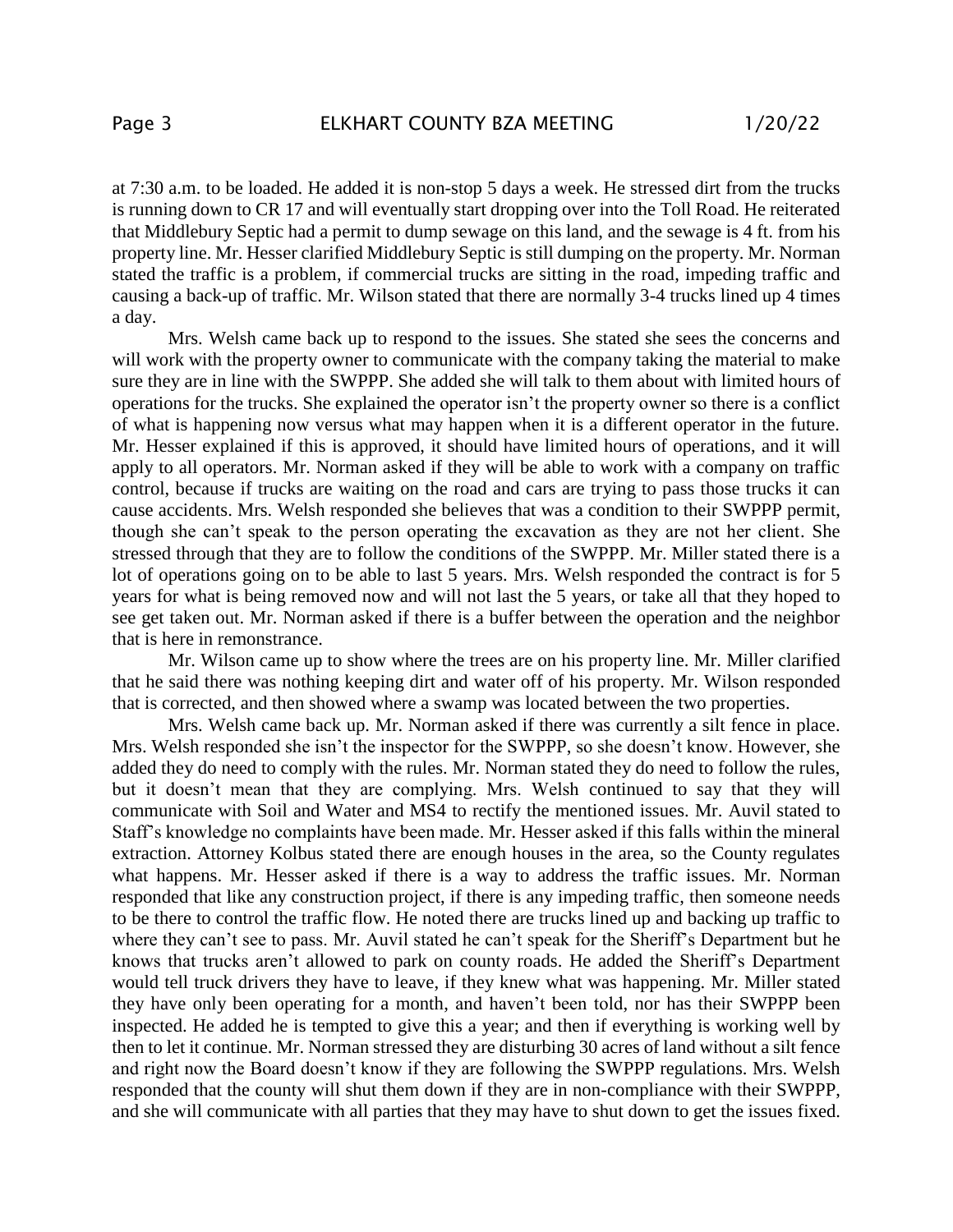at 7:30 a.m. to be loaded. He added it is non-stop 5 days a week. He stressed dirt from the trucks is running down to CR 17 and will eventually start dropping over into the Toll Road. He reiterated that Middlebury Septic had a permit to dump sewage on this land, and the sewage is 4 ft. from his property line. Mr. Hesser clarified Middlebury Septic is still dumping on the property. Mr. Norman stated the traffic is a problem, if commercial trucks are sitting in the road, impeding traffic and causing a back-up of traffic. Mr. Wilson stated that there are normally 3-4 trucks lined up 4 times a day.

Mrs. Welsh came back up to respond to the issues. She stated she sees the concerns and will work with the property owner to communicate with the company taking the material to make sure they are in line with the SWPPP. She added she will talk to them about with limited hours of operations for the trucks. She explained the operator isn't the property owner so there is a conflict of what is happening now versus what may happen when it is a different operator in the future. Mr. Hesser explained if this is approved, it should have limited hours of operations, and it will apply to all operators. Mr. Norman asked if they will be able to work with a company on traffic control, because if trucks are waiting on the road and cars are trying to pass those trucks it can cause accidents. Mrs. Welsh responded she believes that was a condition to their SWPPP permit, though she can't speak to the person operating the excavation as they are not her client. She stressed through that they are to follow the conditions of the SWPPP. Mr. Miller stated there is a lot of operations going on to be able to last 5 years. Mrs. Welsh responded the contract is for 5 years for what is being removed now and will not last the 5 years, or take all that they hoped to see get taken out. Mr. Norman asked if there is a buffer between the operation and the neighbor that is here in remonstrance.

Mr. Wilson came up to show where the trees are on his property line. Mr. Miller clarified that he said there was nothing keeping dirt and water off of his property. Mr. Wilson responded that is corrected, and then showed where a swamp was located between the two properties.

Mrs. Welsh came back up. Mr. Norman asked if there was currently a silt fence in place. Mrs. Welsh responded she isn't the inspector for the SWPPP, so she doesn't know. However, she added they do need to comply with the rules. Mr. Norman stated they do need to follow the rules, but it doesn't mean that they are complying. Mrs. Welsh continued to say that they will communicate with Soil and Water and MS4 to rectify the mentioned issues. Mr. Auvil stated to Staff's knowledge no complaints have been made. Mr. Hesser asked if this falls within the mineral extraction. Attorney Kolbus stated there are enough houses in the area, so the County regulates what happens. Mr. Hesser asked if there is a way to address the traffic issues. Mr. Norman responded that like any construction project, if there is any impeding traffic, then someone needs to be there to control the traffic flow. He noted there are trucks lined up and backing up traffic to where they can't see to pass. Mr. Auvil stated he can't speak for the Sheriff's Department but he knows that trucks aren't allowed to park on county roads. He added the Sheriff's Department would tell truck drivers they have to leave, if they knew what was happening. Mr. Miller stated they have only been operating for a month, and haven't been told, nor has their SWPPP been inspected. He added he is tempted to give this a year; and then if everything is working well by then to let it continue. Mr. Norman stressed they are disturbing 30 acres of land without a silt fence and right now the Board doesn't know if they are following the SWPPP regulations. Mrs. Welsh responded that the county will shut them down if they are in non-compliance with their SWPPP, and she will communicate with all parties that they may have to shut down to get the issues fixed.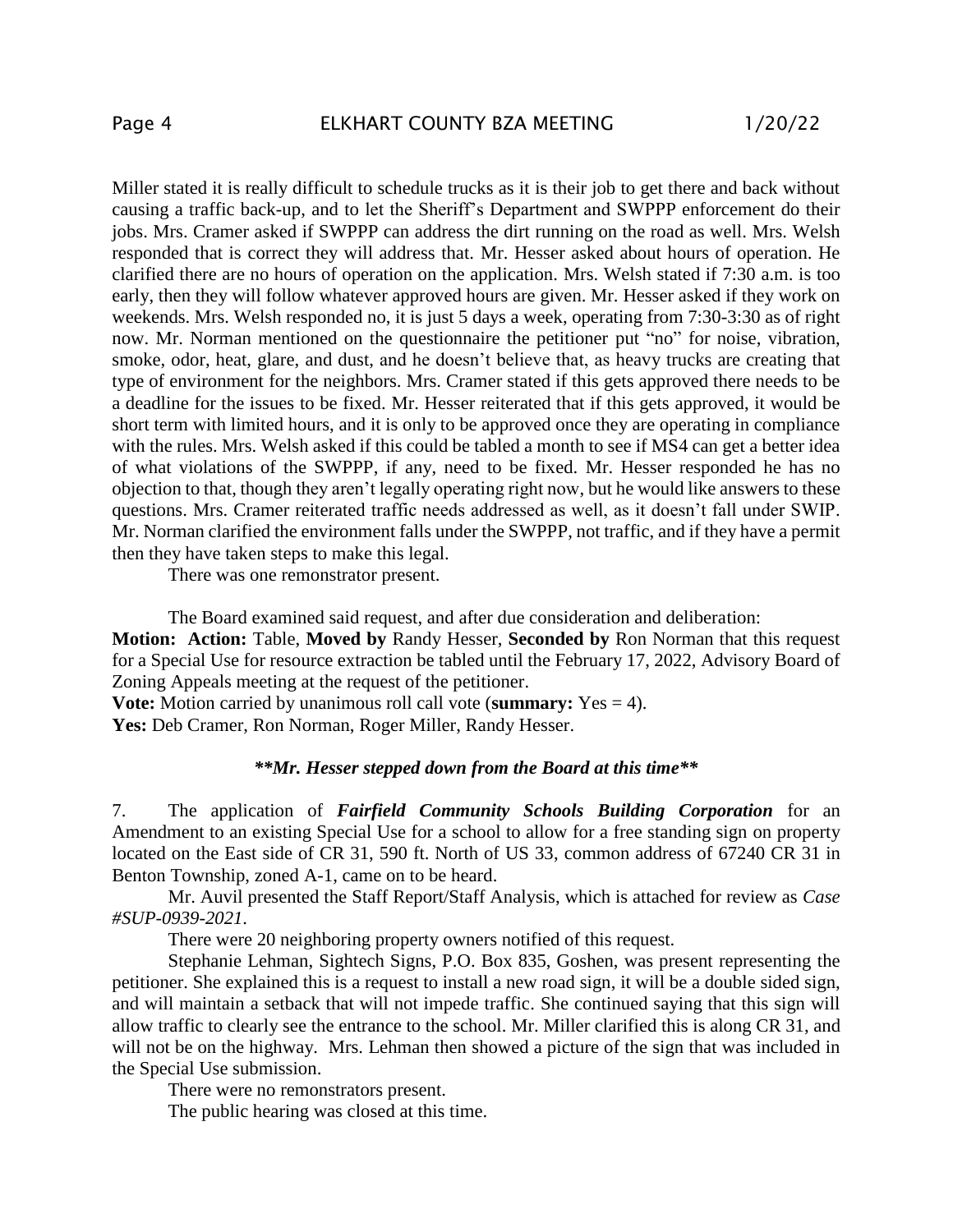Miller stated it is really difficult to schedule trucks as it is their job to get there and back without causing a traffic back-up, and to let the Sheriff's Department and SWPPP enforcement do their jobs. Mrs. Cramer asked if SWPPP can address the dirt running on the road as well. Mrs. Welsh responded that is correct they will address that. Mr. Hesser asked about hours of operation. He clarified there are no hours of operation on the application. Mrs. Welsh stated if 7:30 a.m. is too early, then they will follow whatever approved hours are given. Mr. Hesser asked if they work on weekends. Mrs. Welsh responded no, it is just 5 days a week, operating from 7:30-3:30 as of right now. Mr. Norman mentioned on the questionnaire the petitioner put "no" for noise, vibration, smoke, odor, heat, glare, and dust, and he doesn't believe that, as heavy trucks are creating that type of environment for the neighbors. Mrs. Cramer stated if this gets approved there needs to be a deadline for the issues to be fixed. Mr. Hesser reiterated that if this gets approved, it would be short term with limited hours, and it is only to be approved once they are operating in compliance with the rules. Mrs. Welsh asked if this could be tabled a month to see if MS4 can get a better idea of what violations of the SWPPP, if any, need to be fixed. Mr. Hesser responded he has no objection to that, though they aren't legally operating right now, but he would like answers to these questions. Mrs. Cramer reiterated traffic needs addressed as well, as it doesn't fall under SWIP. Mr. Norman clarified the environment falls under the SWPPP, not traffic, and if they have a permit then they have taken steps to make this legal.

There was one remonstrator present.

The Board examined said request, and after due consideration and deliberation: **Motion: Action:** Table, **Moved by** Randy Hesser, **Seconded by** Ron Norman that this request for a Special Use for resource extraction be tabled until the February 17, 2022, Advisory Board of Zoning Appeals meeting at the request of the petitioner.

**Vote:** Motion carried by unanimous roll call vote (**summary:** Yes = 4).

Yes: Deb Cramer, Ron Norman, Roger Miller, Randy Hesser.

#### *\*\*Mr. Hesser stepped down from the Board at this time\*\**

7. The application of *Fairfield Community Schools Building Corporation* for an Amendment to an existing Special Use for a school to allow for a free standing sign on property located on the East side of CR 31, 590 ft. North of US 33, common address of 67240 CR 31 in Benton Township, zoned A-1, came on to be heard.

Mr. Auvil presented the Staff Report/Staff Analysis, which is attached for review as *Case #SUP-0939-2021*.

There were 20 neighboring property owners notified of this request.

Stephanie Lehman, Sightech Signs, P.O. Box 835, Goshen, was present representing the petitioner. She explained this is a request to install a new road sign, it will be a double sided sign, and will maintain a setback that will not impede traffic. She continued saying that this sign will allow traffic to clearly see the entrance to the school. Mr. Miller clarified this is along CR 31, and will not be on the highway. Mrs. Lehman then showed a picture of the sign that was included in the Special Use submission.

There were no remonstrators present.

The public hearing was closed at this time.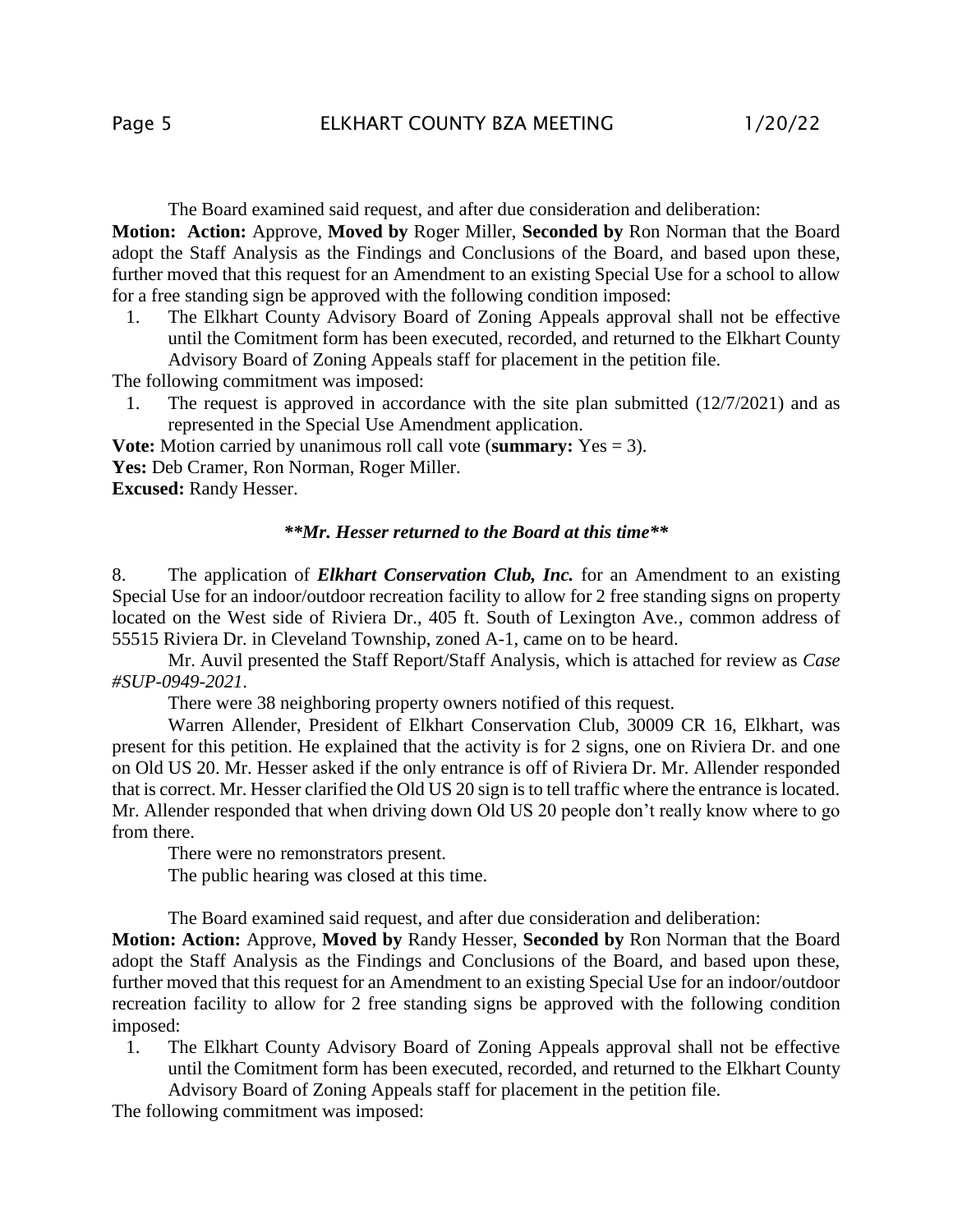The Board examined said request, and after due consideration and deliberation: **Motion: Action:** Approve, **Moved by** Roger Miller, **Seconded by** Ron Norman that the Board adopt the Staff Analysis as the Findings and Conclusions of the Board, and based upon these, further moved that this request for an Amendment to an existing Special Use for a school to allow for a free standing sign be approved with the following condition imposed:

1. The Elkhart County Advisory Board of Zoning Appeals approval shall not be effective until the Comitment form has been executed, recorded, and returned to the Elkhart County Advisory Board of Zoning Appeals staff for placement in the petition file.

The following commitment was imposed:

1. The request is approved in accordance with the site plan submitted (12/7/2021) and as represented in the Special Use Amendment application.

**Vote:** Motion carried by unanimous roll call vote (**summary:** Yes = 3). **Yes:** Deb Cramer, Ron Norman, Roger Miller. **Excused:** Randy Hesser.

### *\*\*Mr. Hesser returned to the Board at this time\*\**

8. The application of *Elkhart Conservation Club, Inc.* for an Amendment to an existing Special Use for an indoor/outdoor recreation facility to allow for 2 free standing signs on property located on the West side of Riviera Dr., 405 ft. South of Lexington Ave., common address of 55515 Riviera Dr. in Cleveland Township, zoned A-1, came on to be heard.

Mr. Auvil presented the Staff Report/Staff Analysis, which is attached for review as *Case #SUP-0949-2021*.

There were 38 neighboring property owners notified of this request.

Warren Allender, President of Elkhart Conservation Club, 30009 CR 16, Elkhart, was present for this petition. He explained that the activity is for 2 signs, one on Riviera Dr. and one on Old US 20. Mr. Hesser asked if the only entrance is off of Riviera Dr. Mr. Allender responded that is correct. Mr. Hesser clarified the Old US 20 sign is to tell traffic where the entrance is located. Mr. Allender responded that when driving down Old US 20 people don't really know where to go from there.

There were no remonstrators present.

The public hearing was closed at this time.

The Board examined said request, and after due consideration and deliberation:

**Motion: Action:** Approve, **Moved by** Randy Hesser, **Seconded by** Ron Norman that the Board adopt the Staff Analysis as the Findings and Conclusions of the Board, and based upon these, further moved that this request for an Amendment to an existing Special Use for an indoor/outdoor recreation facility to allow for 2 free standing signs be approved with the following condition imposed:

1. The Elkhart County Advisory Board of Zoning Appeals approval shall not be effective until the Comitment form has been executed, recorded, and returned to the Elkhart County Advisory Board of Zoning Appeals staff for placement in the petition file.

The following commitment was imposed: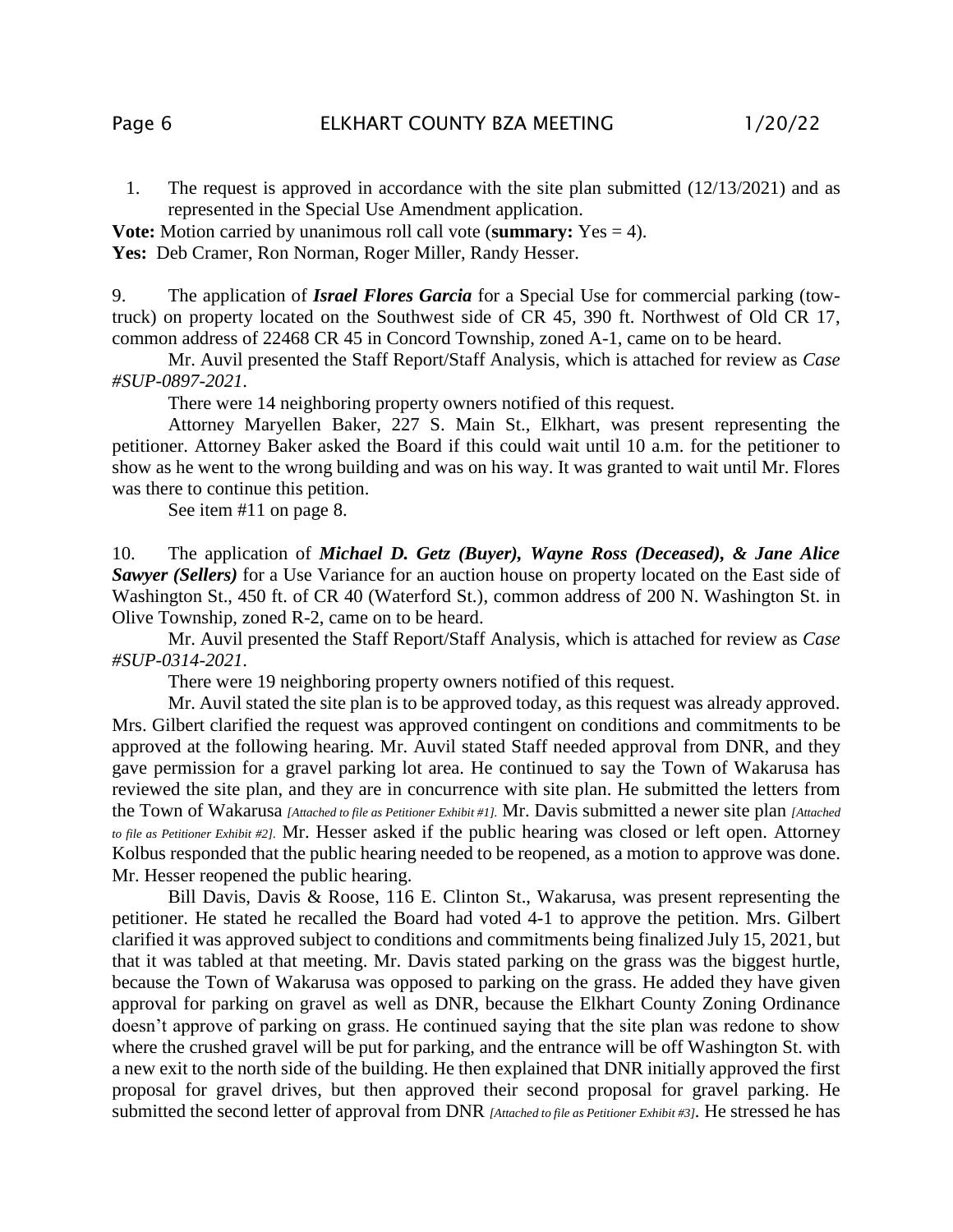1. The request is approved in accordance with the site plan submitted (12/13/2021) and as represented in the Special Use Amendment application.

**Vote:** Motion carried by unanimous roll call vote (**summary:** Yes = 4). Yes: Deb Cramer, Ron Norman, Roger Miller, Randy Hesser.

9. The application of *Israel Flores Garcia* for a Special Use for commercial parking (towtruck) on property located on the Southwest side of CR 45, 390 ft. Northwest of Old CR 17, common address of 22468 CR 45 in Concord Township, zoned A-1, came on to be heard.

Mr. Auvil presented the Staff Report/Staff Analysis, which is attached for review as *Case #SUP-0897-2021*.

There were 14 neighboring property owners notified of this request.

Attorney Maryellen Baker, 227 S. Main St., Elkhart, was present representing the petitioner. Attorney Baker asked the Board if this could wait until 10 a.m. for the petitioner to show as he went to the wrong building and was on his way. It was granted to wait until Mr. Flores was there to continue this petition.

See item #11 on page 8.

10. The application of *Michael D. Getz (Buyer), Wayne Ross (Deceased), & Jane Alice Sawyer (Sellers)* for a Use Variance for an auction house on property located on the East side of Washington St., 450 ft. of CR 40 (Waterford St.), common address of 200 N. Washington St. in Olive Township, zoned R-2, came on to be heard.

Mr. Auvil presented the Staff Report/Staff Analysis, which is attached for review as *Case #SUP-0314-2021*.

There were 19 neighboring property owners notified of this request.

Mr. Auvil stated the site plan is to be approved today, as this request was already approved. Mrs. Gilbert clarified the request was approved contingent on conditions and commitments to be approved at the following hearing. Mr. Auvil stated Staff needed approval from DNR, and they gave permission for a gravel parking lot area. He continued to say the Town of Wakarusa has reviewed the site plan, and they are in concurrence with site plan. He submitted the letters from the Town of Wakarusa *[Attached to file as Petitioner Exhibit #1].* Mr. Davis submitted a newer site plan *[Attached to file as Petitioner Exhibit #2].* Mr. Hesser asked if the public hearing was closed or left open. Attorney Kolbus responded that the public hearing needed to be reopened, as a motion to approve was done. Mr. Hesser reopened the public hearing.

Bill Davis, Davis & Roose, 116 E. Clinton St., Wakarusa, was present representing the petitioner. He stated he recalled the Board had voted 4-1 to approve the petition. Mrs. Gilbert clarified it was approved subject to conditions and commitments being finalized July 15, 2021, but that it was tabled at that meeting. Mr. Davis stated parking on the grass was the biggest hurtle, because the Town of Wakarusa was opposed to parking on the grass. He added they have given approval for parking on gravel as well as DNR, because the Elkhart County Zoning Ordinance doesn't approve of parking on grass. He continued saying that the site plan was redone to show where the crushed gravel will be put for parking, and the entrance will be off Washington St. with a new exit to the north side of the building. He then explained that DNR initially approved the first proposal for gravel drives, but then approved their second proposal for gravel parking. He submitted the second letter of approval from DNR *[Attached to file as Petitioner Exhibit #3].* He stressed he has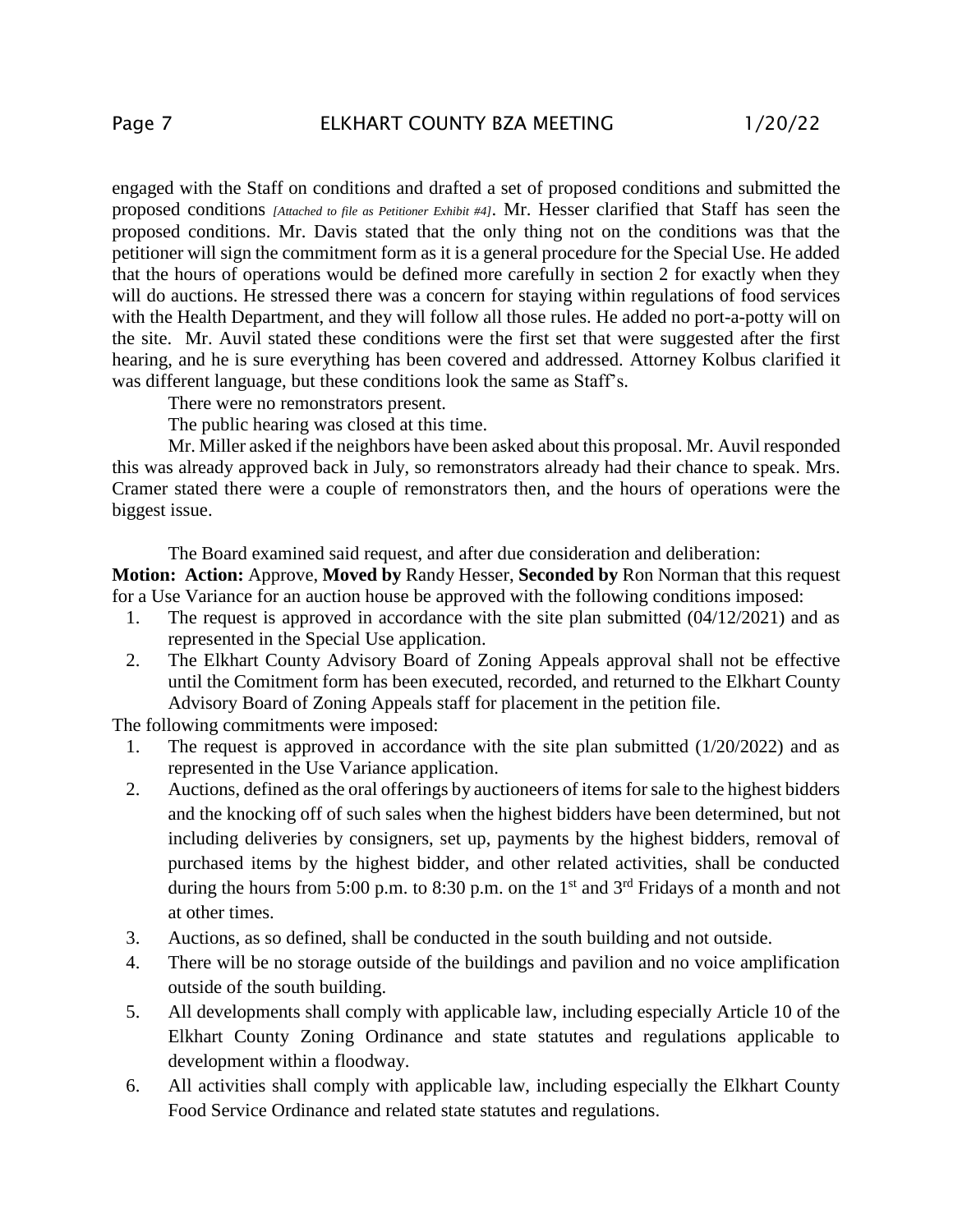engaged with the Staff on conditions and drafted a set of proposed conditions and submitted the proposed conditions *[Attached to file as Petitioner Exhibit #4]*. Mr. Hesser clarified that Staff has seen the proposed conditions. Mr. Davis stated that the only thing not on the conditions was that the petitioner will sign the commitment form as it is a general procedure for the Special Use. He added that the hours of operations would be defined more carefully in section 2 for exactly when they will do auctions. He stressed there was a concern for staying within regulations of food services with the Health Department, and they will follow all those rules. He added no port-a-potty will on the site. Mr. Auvil stated these conditions were the first set that were suggested after the first hearing, and he is sure everything has been covered and addressed. Attorney Kolbus clarified it was different language, but these conditions look the same as Staff's.

There were no remonstrators present.

The public hearing was closed at this time.

Mr. Miller asked if the neighbors have been asked about this proposal. Mr. Auvil responded this was already approved back in July, so remonstrators already had their chance to speak. Mrs. Cramer stated there were a couple of remonstrators then, and the hours of operations were the biggest issue.

The Board examined said request, and after due consideration and deliberation:

**Motion: Action:** Approve, **Moved by** Randy Hesser, **Seconded by** Ron Norman that this request for a Use Variance for an auction house be approved with the following conditions imposed:

- 1. The request is approved in accordance with the site plan submitted (04/12/2021) and as represented in the Special Use application.
- 2. The Elkhart County Advisory Board of Zoning Appeals approval shall not be effective until the Comitment form has been executed, recorded, and returned to the Elkhart County Advisory Board of Zoning Appeals staff for placement in the petition file.

The following commitments were imposed:

- 1. The request is approved in accordance with the site plan submitted (1/20/2022) and as represented in the Use Variance application.
- 2. Auctions, defined as the oral offerings by auctioneers of items for sale to the highest bidders and the knocking off of such sales when the highest bidders have been determined, but not including deliveries by consigners, set up, payments by the highest bidders, removal of purchased items by the highest bidder, and other related activities, shall be conducted during the hours from 5:00 p.m. to 8:30 p.m. on the 1<sup>st</sup> and 3<sup>rd</sup> Fridays of a month and not at other times.
- 3. Auctions, as so defined, shall be conducted in the south building and not outside.
- 4. There will be no storage outside of the buildings and pavilion and no voice amplification outside of the south building.
- 5. All developments shall comply with applicable law, including especially Article 10 of the Elkhart County Zoning Ordinance and state statutes and regulations applicable to development within a floodway.
- 6. All activities shall comply with applicable law, including especially the Elkhart County Food Service Ordinance and related state statutes and regulations.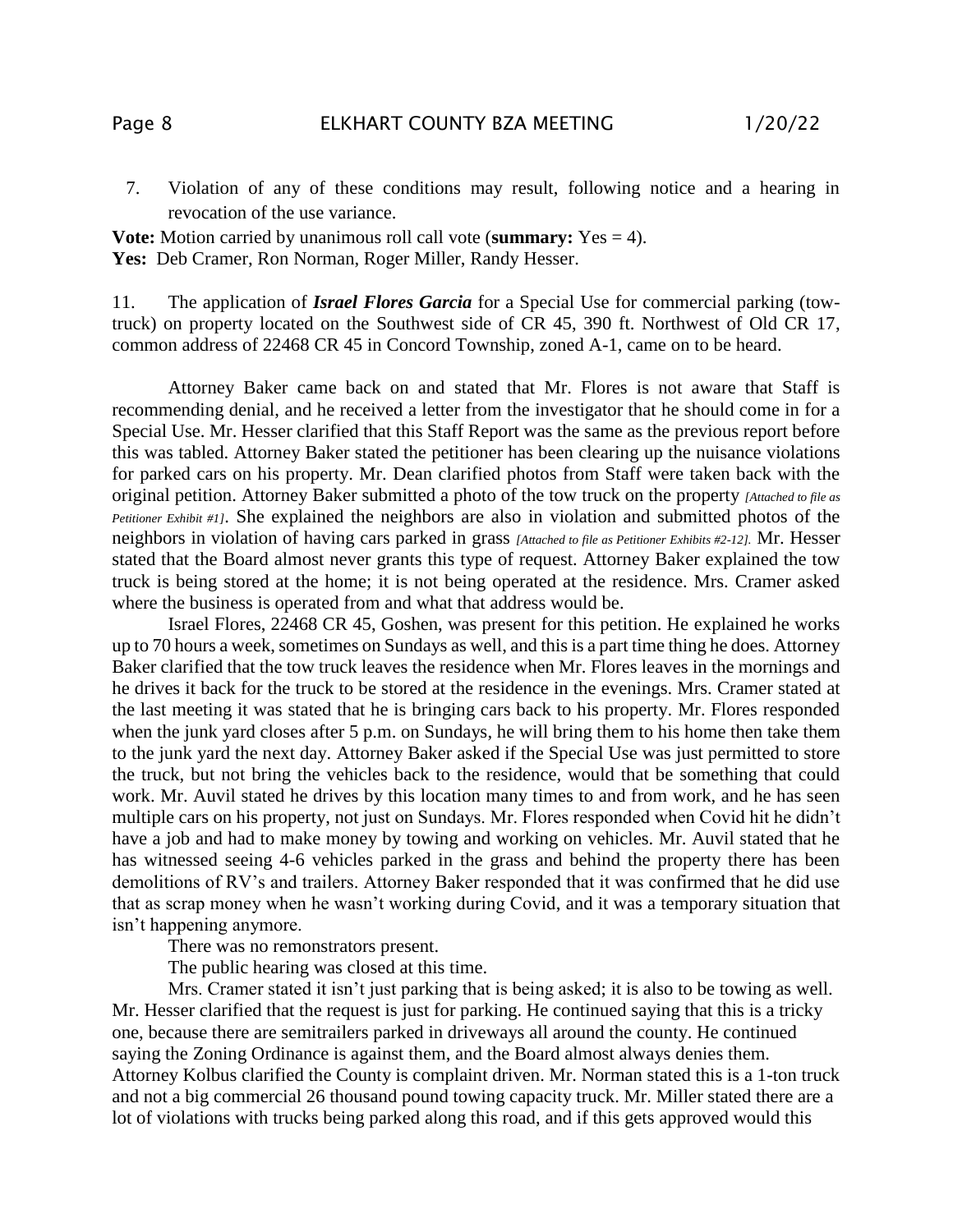7. Violation of any of these conditions may result, following notice and a hearing in revocation of the use variance.

**Vote:** Motion carried by unanimous roll call vote (**summary:** Yes = 4). **Yes:** Deb Cramer, Ron Norman, Roger Miller, Randy Hesser.

11. The application of *Israel Flores Garcia* for a Special Use for commercial parking (towtruck) on property located on the Southwest side of CR 45, 390 ft. Northwest of Old CR 17, common address of 22468 CR 45 in Concord Township, zoned A-1, came on to be heard.

Attorney Baker came back on and stated that Mr. Flores is not aware that Staff is recommending denial, and he received a letter from the investigator that he should come in for a Special Use. Mr. Hesser clarified that this Staff Report was the same as the previous report before this was tabled. Attorney Baker stated the petitioner has been clearing up the nuisance violations for parked cars on his property. Mr. Dean clarified photos from Staff were taken back with the original petition. Attorney Baker submitted a photo of the tow truck on the property *[Attached to file as Petitioner Exhibit #1]*. She explained the neighbors are also in violation and submitted photos of the neighbors in violation of having cars parked in grass *[Attached to file as Petitioner Exhibits #2-12].* Mr. Hesser stated that the Board almost never grants this type of request. Attorney Baker explained the tow truck is being stored at the home; it is not being operated at the residence. Mrs. Cramer asked where the business is operated from and what that address would be.

Israel Flores, 22468 CR 45, Goshen, was present for this petition. He explained he works up to 70 hours a week, sometimes on Sundays as well, and this is a part time thing he does. Attorney Baker clarified that the tow truck leaves the residence when Mr. Flores leaves in the mornings and he drives it back for the truck to be stored at the residence in the evenings. Mrs. Cramer stated at the last meeting it was stated that he is bringing cars back to his property. Mr. Flores responded when the junk yard closes after 5 p.m. on Sundays, he will bring them to his home then take them to the junk yard the next day. Attorney Baker asked if the Special Use was just permitted to store the truck, but not bring the vehicles back to the residence, would that be something that could work. Mr. Auvil stated he drives by this location many times to and from work, and he has seen multiple cars on his property, not just on Sundays. Mr. Flores responded when Covid hit he didn't have a job and had to make money by towing and working on vehicles. Mr. Auvil stated that he has witnessed seeing 4-6 vehicles parked in the grass and behind the property there has been demolitions of RV's and trailers. Attorney Baker responded that it was confirmed that he did use that as scrap money when he wasn't working during Covid, and it was a temporary situation that isn't happening anymore.

There was no remonstrators present.

The public hearing was closed at this time.

Mrs. Cramer stated it isn't just parking that is being asked; it is also to be towing as well. Mr. Hesser clarified that the request is just for parking. He continued saying that this is a tricky one, because there are semitrailers parked in driveways all around the county. He continued saying the Zoning Ordinance is against them, and the Board almost always denies them. Attorney Kolbus clarified the County is complaint driven. Mr. Norman stated this is a 1-ton truck and not a big commercial 26 thousand pound towing capacity truck. Mr. Miller stated there are a lot of violations with trucks being parked along this road, and if this gets approved would this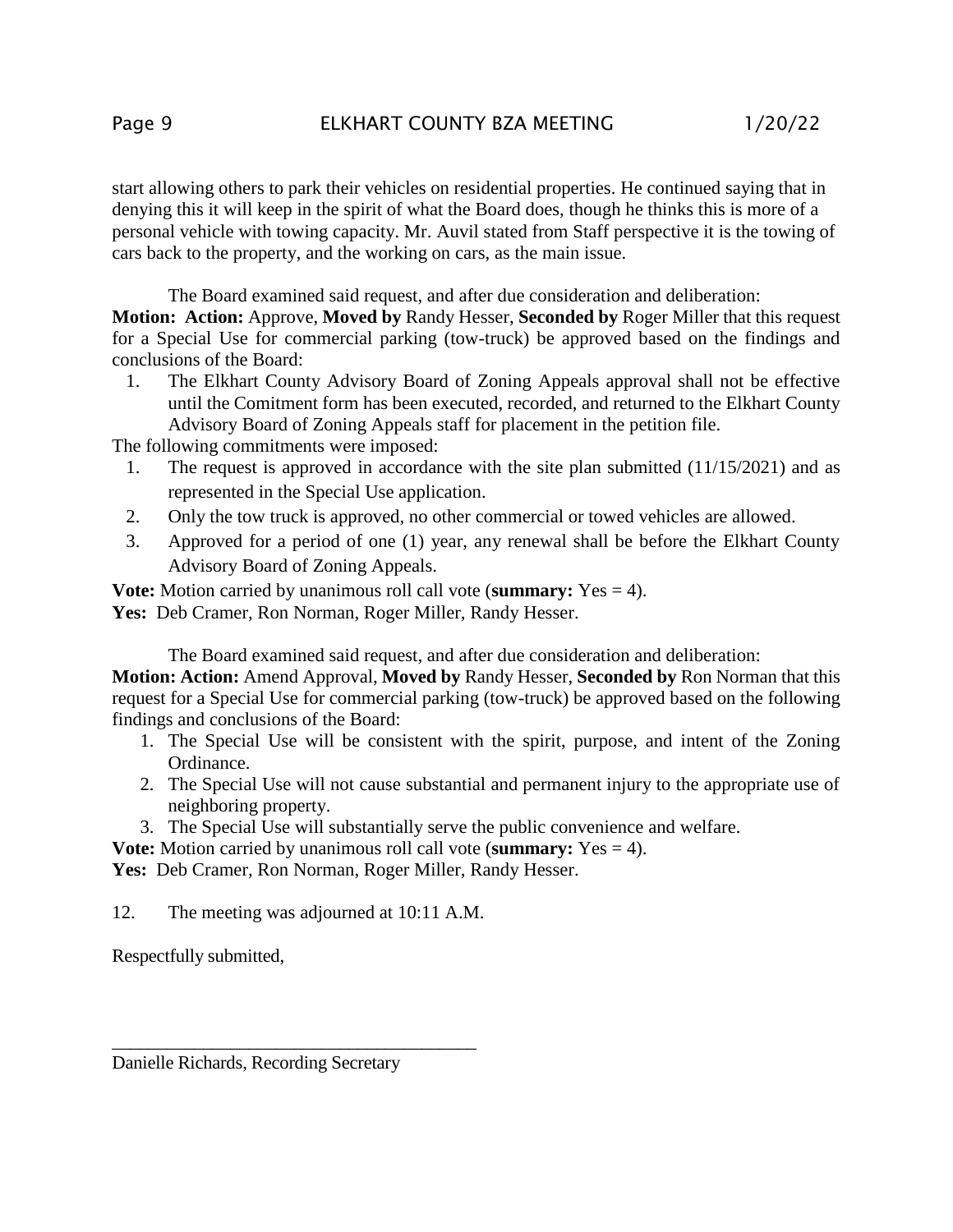start allowing others to park their vehicles on residential properties. He continued saying that in denying this it will keep in the spirit of what the Board does, though he thinks this is more of a personal vehicle with towing capacity. Mr. Auvil stated from Staff perspective it is the towing of cars back to the property, and the working on cars, as the main issue.

The Board examined said request, and after due consideration and deliberation:

**Motion: Action:** Approve, **Moved by** Randy Hesser, **Seconded by** Roger Miller that this request for a Special Use for commercial parking (tow-truck) be approved based on the findings and conclusions of the Board:

1. The Elkhart County Advisory Board of Zoning Appeals approval shall not be effective until the Comitment form has been executed, recorded, and returned to the Elkhart County Advisory Board of Zoning Appeals staff for placement in the petition file.

The following commitments were imposed:

- 1. The request is approved in accordance with the site plan submitted (11/15/2021) and as represented in the Special Use application.
- 2. Only the tow truck is approved, no other commercial or towed vehicles are allowed.
- 3. Approved for a period of one (1) year, any renewal shall be before the Elkhart County Advisory Board of Zoning Appeals.

**Vote:** Motion carried by unanimous roll call vote (**summary:** Yes = 4). Yes: Deb Cramer, Ron Norman, Roger Miller, Randy Hesser.

The Board examined said request, and after due consideration and deliberation:

**Motion: Action:** Amend Approval, **Moved by** Randy Hesser, **Seconded by** Ron Norman that this request for a Special Use for commercial parking (tow-truck) be approved based on the following findings and conclusions of the Board:

- 1. The Special Use will be consistent with the spirit, purpose, and intent of the Zoning Ordinance.
- 2. The Special Use will not cause substantial and permanent injury to the appropriate use of neighboring property.
- 3. The Special Use will substantially serve the public convenience and welfare.

**Vote:** Motion carried by unanimous roll call vote (**summary:** Yes = 4).

Yes: Deb Cramer, Ron Norman, Roger Miller, Randy Hesser.

12. The meeting was adjourned at 10:11 A.M.

\_\_\_\_\_\_\_\_\_\_\_\_\_\_\_\_\_\_\_\_\_\_\_\_\_\_\_\_\_\_\_\_\_\_\_\_\_\_\_\_

Respectfully submitted,

Danielle Richards, Recording Secretary